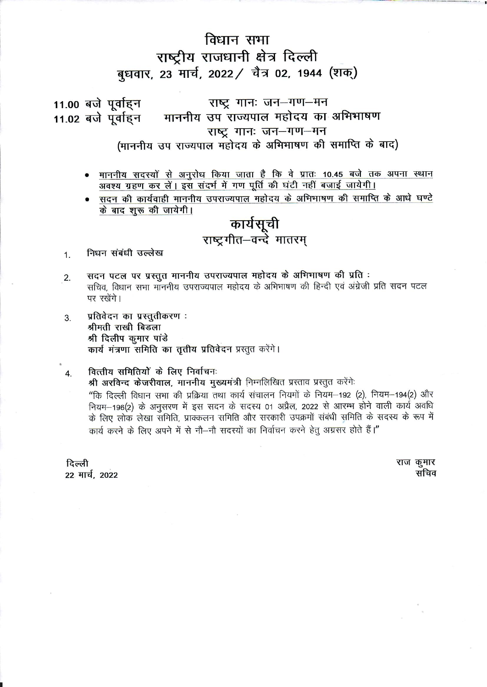## विधान सभा राष्ट्रीय राजधानी क्षेत्र दिल्ली बुधवार, 23 मार्च, 2022 / चैत्र 02, 1944 (शक्)

राष्ट्र गानः जन-गण-मन 11.00 बजे पूर्वाहन माननीय उप राज्यपाल महोदय का अभिभाषण 11.02 बजे पूर्वाहन राष्ट्र गानः जन-गण-मन (माननीय उप राज्यपाल महोदय के अभिभाषण की समाप्ति के बाद)

- <u>माननीय सदस्यों से अनुरोध किया जाता है कि वे प्रातः 10.45 बजे तक अपना स्थान</u> अवश्य ग्रहण कर लें। इस संदर्भ में गण पूर्ति की घंटी नहीं बजाई जायेगी।
- सदन की कार्यवाही माननीय उपराज्यपाल महोदय के अभिभाषण की समाप्ति के आधे घण्टे के बाद शुरू की जायेगी।

# कार्यसूची<br>राष्ट्रगीत–वन्दे मातरम्

निधन संबंधी उल्लेख  $\mathbf{1}$ .

- सदन पटल पर प्रस्तुत माननीय उपराज्यपाल महोदय के अभिभाषण की प्रति:  $\overline{2}$ . सचिव, विधान सभा मॉननीय उपराज्यपाल महोदय के अभिभाषण की हिन्दी एवं अंग्रेजी प्रति सदन पटल पर रखेंगे।
- प्रतिवेदन का प्रस्तुतीकरण: 3. श्रीमती राखी बिडला श्री दिलीप कुमार पांडे कार्य मंत्रणा समिति का तृतीय प्रतिवेदन प्रस्तुत करेंगे।
- वित्तीय समितियों के लिए निर्वाचनः  $\overline{4}$ . श्री अरविन्द केजरीवाल, माननीय मुख्यमंत्री निम्नलिखित प्रस्ताव प्रस्तुत करेंगे: "कि दिल्ली विधान सभा की प्रक्रिया तथा कार्य संचालन नियमों के नियम-192 (2), नियम-194(2) और नियम-196(2) के अनुसरण में इस सदन के सदस्य 01 अप्रैल, 2022 से आरम्भ होने वाली कार्य अवधि के लिए लोक लेखा समिति, प्राक्कलन समिति और सरकारी उपक्रमों संबंधी समिति के सदस्य के रूप में कार्य करने के लिए अपने में से नौ-नौ सदस्यों का निर्वाचन करने हेतू अग्रसर होते हैं।"

दिल्ली 22 मार्च. 2022 राज कुमार सचिव